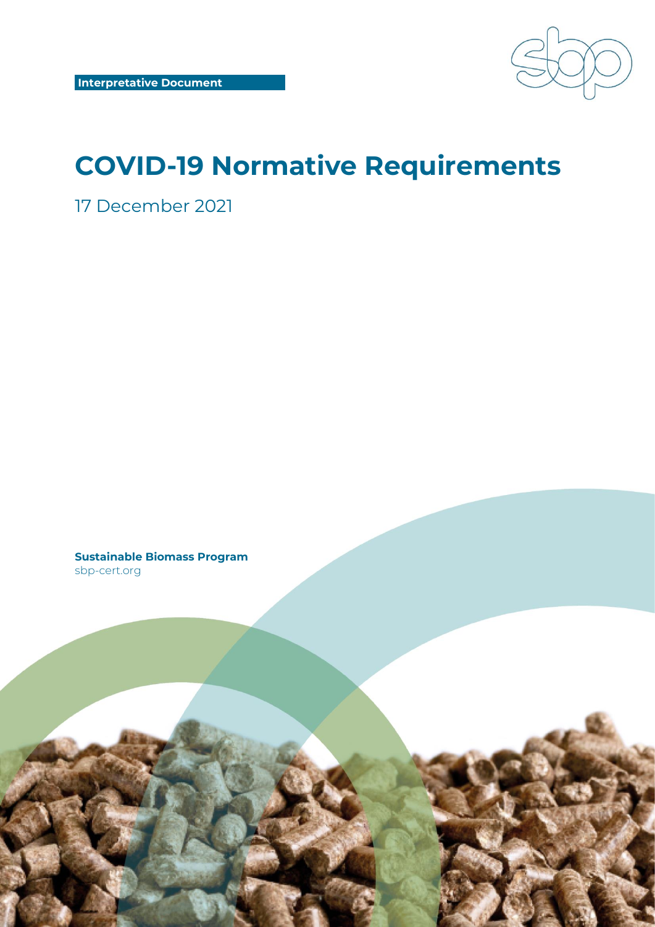

# **COVID-19 Normative Requirements**

17 December 2021

**Sustainable Biomass Program** sbp-cert.org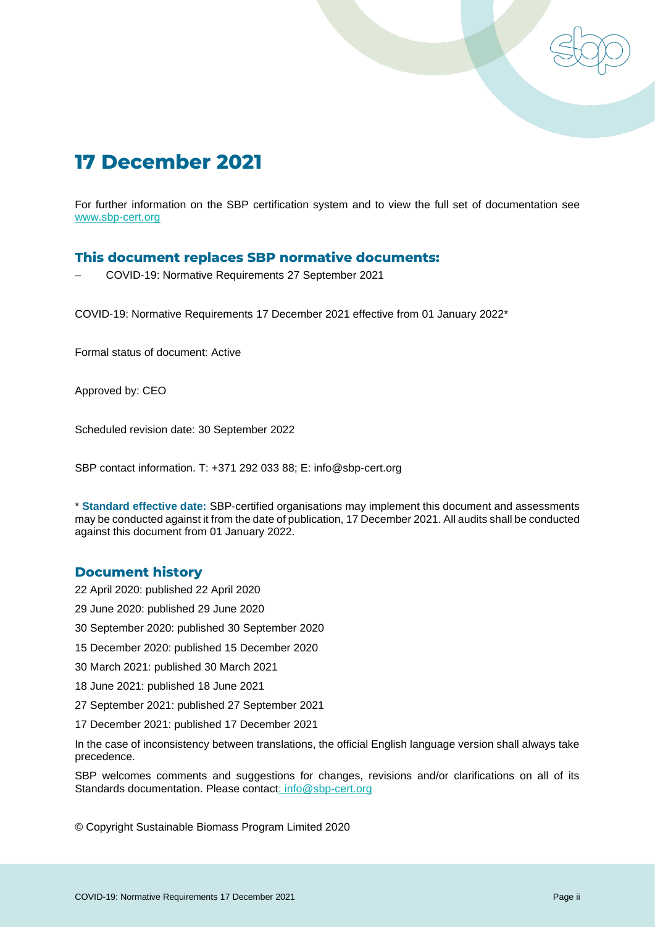

For further information on the SBP certification system and to view the full set of documentation see www.sbp-cert.org

#### **This document replaces SBP normative documents:**

– COVID-19: Normative Requirements 27 September 2021

COVID-19: Normative Requirements 17 December 2021 effective from 01 January 2022\*

Formal status of document: Active

Approved by: CEO

Scheduled revision date: 30 September 2022

SBP contact information. T: +371 292 033 88; E: info@sbp-cert.org

\* **Standard effective date:** SBP-certified organisations may implement this document and assessments may be conducted against it from the date of publication, 17 December 2021. All audits shall be conducted against this document from 01 January 2022.

#### **Document history**

22 April 2020: published 22 April 2020

- 29 June 2020: published 29 June 2020
- 30 September 2020: published 30 September 2020
- 15 December 2020: published 15 December 2020
- 30 March 2021: published 30 March 2021
- 18 June 2021: published 18 June 2021
- 27 September 2021: published 27 September 2021
- 17 December 2021: published 17 December 2021

In the case of inconsistency between translations, the official English language version shall always take precedence.

SBP welcomes comments and suggestions for changes, revisions and/or clarifications on all of its Standards documentation. Please contact: info@sbp-cert.org

© Copyright Sustainable Biomass Program Limited 2020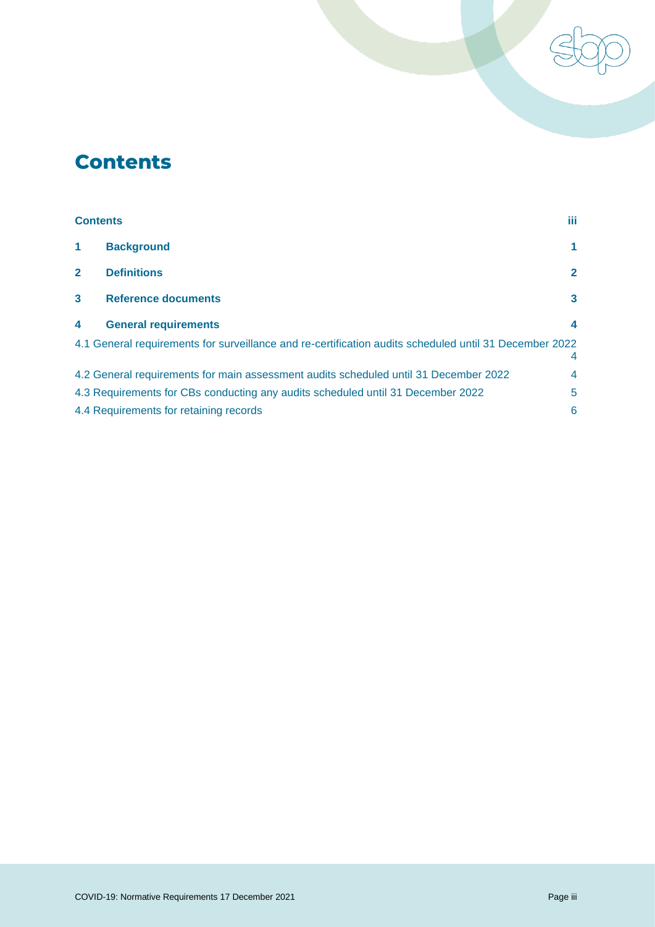# <span id="page-2-0"></span>**Contents**

| <b>Contents</b>                                                                                             |                                                                                      | iii.         |
|-------------------------------------------------------------------------------------------------------------|--------------------------------------------------------------------------------------|--------------|
| $\blacktriangleleft$                                                                                        | <b>Background</b>                                                                    | 1            |
| $\mathbf{2}$                                                                                                | <b>Definitions</b>                                                                   | $\mathbf{2}$ |
| $\mathbf{3}$                                                                                                | <b>Reference documents</b>                                                           | 3            |
| $\overline{\mathbf{4}}$                                                                                     | <b>General requirements</b>                                                          | 4            |
| 4.1 General requirements for surveillance and re-certification audits scheduled until 31 December 2022<br>4 |                                                                                      |              |
|                                                                                                             | 4.2 General requirements for main assessment audits scheduled until 31 December 2022 | 4            |
|                                                                                                             | 4.3 Requirements for CBs conducting any audits scheduled until 31 December 2022      | 5            |
|                                                                                                             | 4.4 Requirements for retaining records                                               | 6            |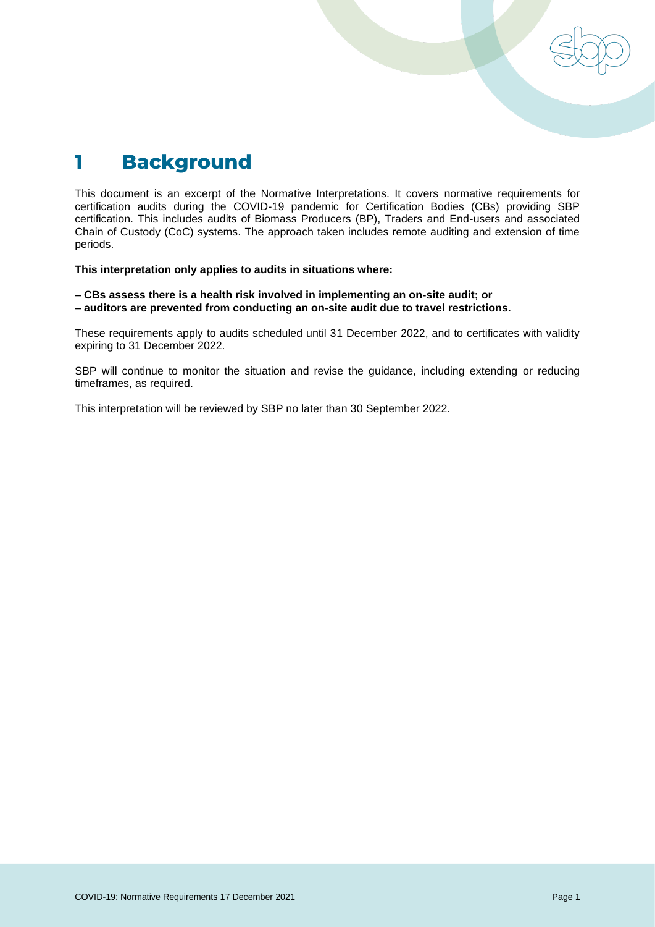<span id="page-3-0"></span>

This document is an excerpt of the Normative Interpretations. It covers normative requirements for certification audits during the COVID-19 pandemic for Certification Bodies (CBs) providing SBP certification. This includes audits of Biomass Producers (BP), Traders and End-users and associated Chain of Custody (CoC) systems. The approach taken includes remote auditing and extension of time periods.

**This interpretation only applies to audits in situations where:**

**– CBs assess there is a health risk involved in implementing an on-site audit; or – auditors are prevented from conducting an on-site audit due to travel restrictions.**

These requirements apply to audits scheduled until 31 December 2022, and to certificates with validity expiring to 31 December 2022.

SBP will continue to monitor the situation and revise the guidance, including extending or reducing timeframes, as required.

This interpretation will be reviewed by SBP no later than 30 September 2022.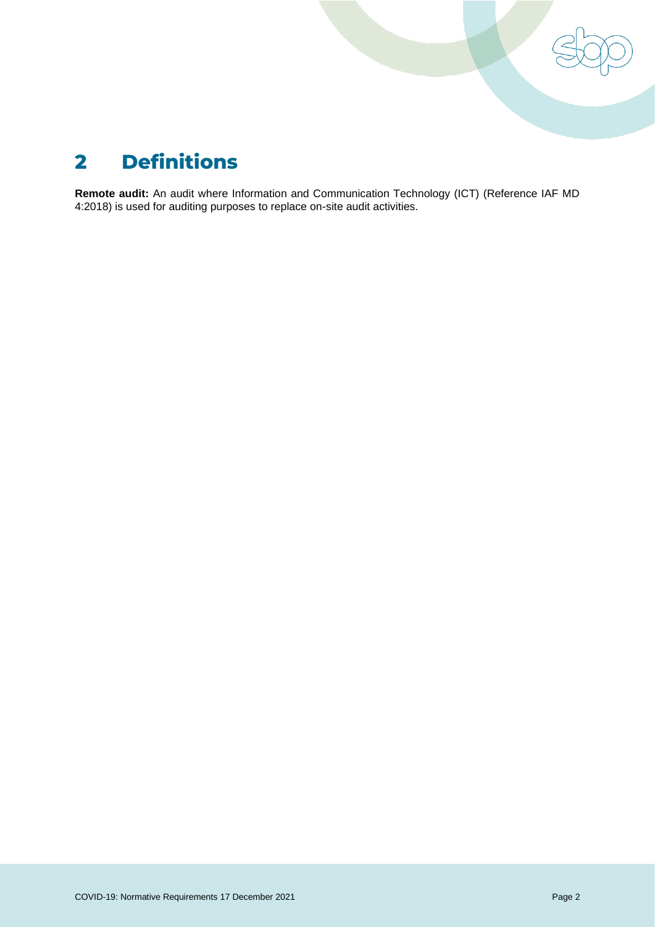

# <span id="page-4-0"></span>**2 Definitions**

**Remote audit:** An audit where Information and Communication Technology (ICT) (Reference IAF MD 4:2018) is used for auditing purposes to replace on-site audit activities.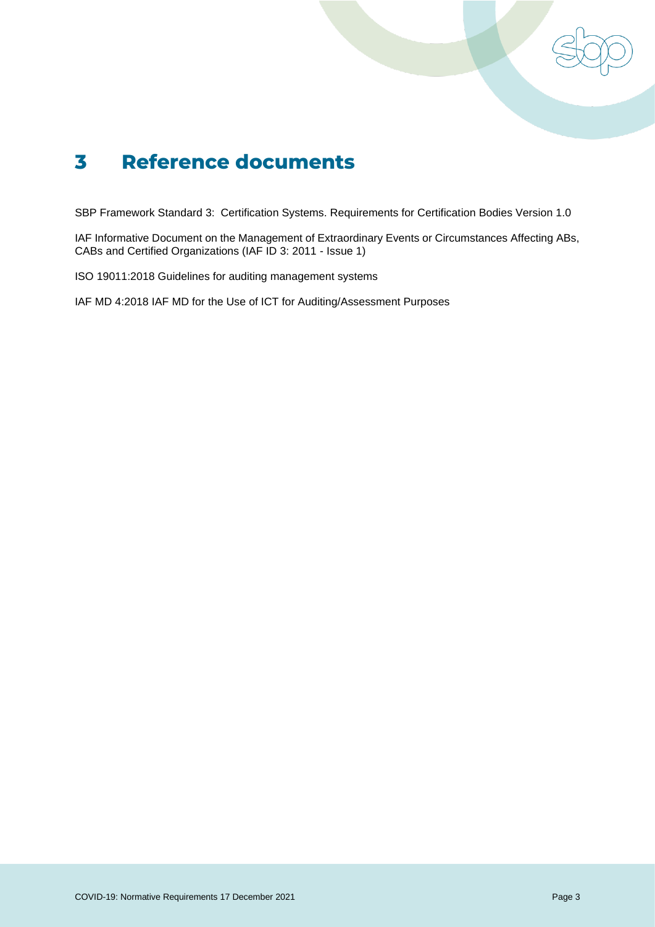

# <span id="page-5-0"></span>**3 Reference documents**

SBP Framework Standard 3: Certification Systems. Requirements for Certification Bodies Version 1.0

IAF Informative Document on the Management of Extraordinary Events or Circumstances Affecting ABs, CABs and Certified Organizations (IAF ID 3: 2011 - Issue 1)

ISO 19011:2018 Guidelines for auditing management systems

IAF MD 4:2018 IAF MD for the Use of ICT for Auditing/Assessment Purposes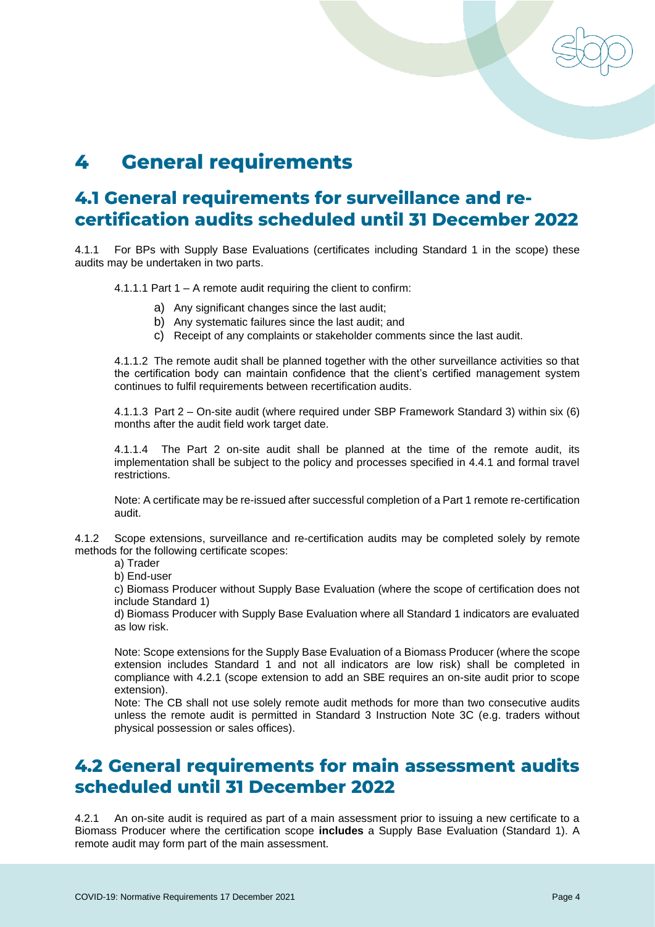# <span id="page-6-0"></span>**4 General requirements**

## <span id="page-6-1"></span>**4.1 General requirements for surveillance and recertification audits scheduled until 31 December 2022**

4.1.1 For BPs with Supply Base Evaluations (certificates including Standard 1 in the scope) these audits may be undertaken in two parts.

4.1.1.1 Part 1 – A remote audit requiring the client to confirm:

- a) Any significant changes since the last audit;
- b) Any systematic failures since the last audit; and
- c) Receipt of any complaints or stakeholder comments since the last audit.

4.1.1.2 The remote audit shall be planned together with the other surveillance activities so that the certification body can maintain confidence that the client's certified management system continues to fulfil requirements between recertification audits.

4.1.1.3 Part 2 – On-site audit (where required under SBP Framework Standard 3) within six (6) months after the audit field work target date.

4.1.1.4 The Part 2 on-site audit shall be planned at the time of the remote audit, its implementation shall be subject to the policy and processes specified in 4.4.1 and formal travel restrictions.

Note: A certificate may be re-issued after successful completion of a Part 1 remote re-certification audit.

4.1.2 Scope extensions, surveillance and re-certification audits may be completed solely by remote methods for the following certificate scopes:

a) Trader

b) End-user

c) Biomass Producer without Supply Base Evaluation (where the scope of certification does not include Standard 1)

d) Biomass Producer with Supply Base Evaluation where all Standard 1 indicators are evaluated as low risk.

Note: Scope extensions for the Supply Base Evaluation of a Biomass Producer (where the scope extension includes Standard 1 and not all indicators are low risk) shall be completed in compliance with 4.2.1 (scope extension to add an SBE requires an on-site audit prior to scope extension).

Note: The CB shall not use solely remote audit methods for more than two consecutive audits unless the remote audit is permitted in Standard 3 Instruction Note 3C (e.g. traders without physical possession or sales offices).

#### <span id="page-6-2"></span>**4.2 General requirements for main assessment audits scheduled until 31 December 2022**

4.2.1 An on-site audit is required as part of a main assessment prior to issuing a new certificate to a Biomass Producer where the certification scope **includes** a Supply Base Evaluation (Standard 1). A remote audit may form part of the main assessment.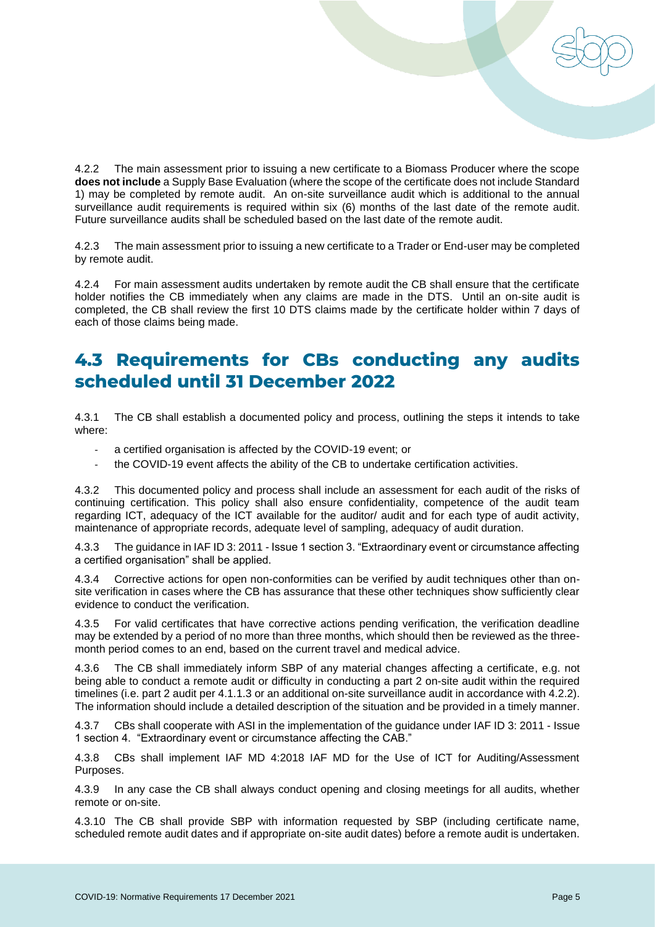

4.2.2 The main assessment prior to issuing a new certificate to a Biomass Producer where the scope **does not include** a Supply Base Evaluation (where the scope of the certificate does not include Standard 1) may be completed by remote audit. An on-site surveillance audit which is additional to the annual surveillance audit requirements is required within six (6) months of the last date of the remote audit. Future surveillance audits shall be scheduled based on the last date of the remote audit.

4.2.3 The main assessment prior to issuing a new certificate to a Trader or End-user may be completed by remote audit.

4.2.4 For main assessment audits undertaken by remote audit the CB shall ensure that the certificate holder notifies the CB immediately when any claims are made in the DTS. Until an on-site audit is completed, the CB shall review the first 10 DTS claims made by the certificate holder within 7 days of each of those claims being made.

### <span id="page-7-0"></span>**4.3 Requirements for CBs conducting any audits scheduled until 31 December 2022**

4.3.1 The CB shall establish a documented policy and process, outlining the steps it intends to take where:

- a certified organisation is affected by the COVID-19 event; or
- the COVID-19 event affects the ability of the CB to undertake certification activities.

4.3.2 This documented policy and process shall include an assessment for each audit of the risks of continuing certification. This policy shall also ensure confidentiality, competence of the audit team regarding ICT, adequacy of the ICT available for the auditor/ audit and for each type of audit activity, maintenance of appropriate records, adequate level of sampling, adequacy of audit duration.

4.3.3 The guidance in IAF ID 3: 2011 - Issue 1 section 3. "Extraordinary event or circumstance affecting a certified organisation" shall be applied.

4.3.4 Corrective actions for open non-conformities can be verified by audit techniques other than onsite verification in cases where the CB has assurance that these other techniques show sufficiently clear evidence to conduct the verification.

4.3.5 For valid certificates that have corrective actions pending verification, the verification deadline may be extended by a period of no more than three months, which should then be reviewed as the threemonth period comes to an end, based on the current travel and medical advice.

4.3.6 The CB shall immediately inform SBP of any material changes affecting a certificate, e.g. not being able to conduct a remote audit or difficulty in conducting a part 2 on-site audit within the required timelines (i.e. part 2 audit per 4.1.1.3 or an additional on-site surveillance audit in accordance with 4.2.2). The information should include a detailed description of the situation and be provided in a timely manner.

4.3.7 CBs shall cooperate with ASI in the implementation of the guidance under IAF ID 3: 2011 - Issue 1 section 4. "Extraordinary event or circumstance affecting the CAB."

4.3.8 CBs shall implement IAF MD 4:2018 IAF MD for the Use of ICT for Auditing/Assessment Purposes.

4.3.9 In any case the CB shall always conduct opening and closing meetings for all audits, whether remote or on-site.

4.3.10 The CB shall provide SBP with information requested by SBP (including certificate name, scheduled remote audit dates and if appropriate on-site audit dates) before a remote audit is undertaken.